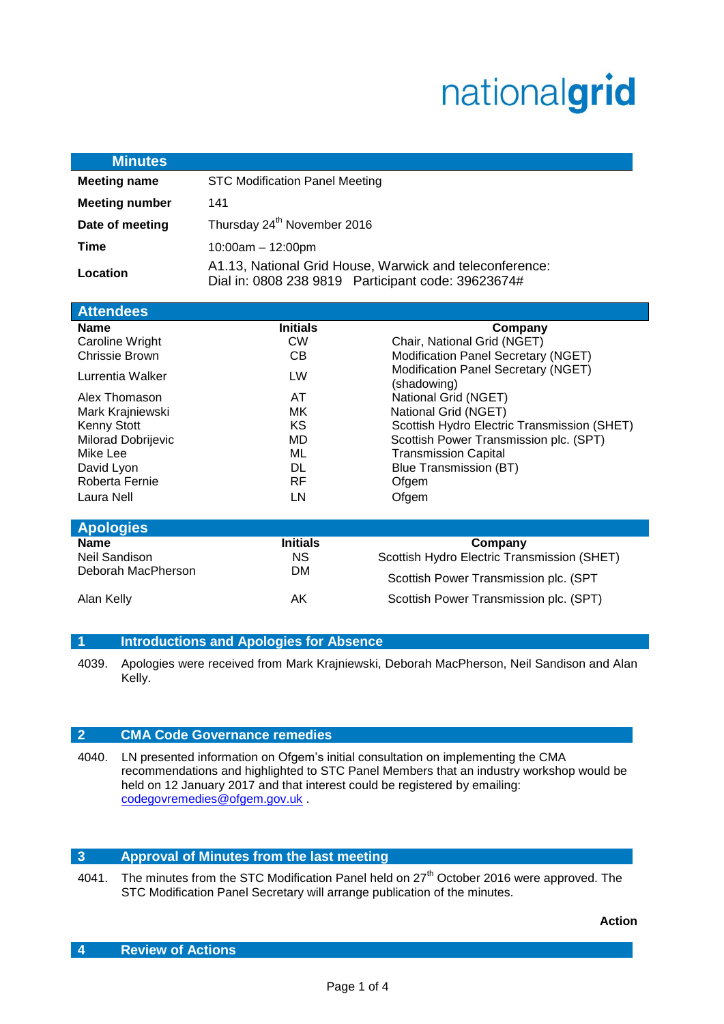# nationalgrid

| <b>Minutes</b>        |                                                                                                               |
|-----------------------|---------------------------------------------------------------------------------------------------------------|
| <b>Meeting name</b>   | <b>STC Modification Panel Meeting</b>                                                                         |
| <b>Meeting number</b> | 141                                                                                                           |
| Date of meeting       | Thursday 24 <sup>th</sup> November 2016                                                                       |
| Time                  | $10:00am - 12:00pm$                                                                                           |
| Location              | A1.13, National Grid House, Warwick and teleconference:<br>Dial in: 0808 238 9819 Participant code: 39623674# |

| <b>Attendees</b>          |                 |                                                    |
|---------------------------|-----------------|----------------------------------------------------|
| <b>Name</b>               | <b>Initials</b> | Company                                            |
| Caroline Wright           | <b>CW</b>       | Chair, National Grid (NGET)                        |
| <b>Chrissie Brown</b>     | CB.             | Modification Panel Secretary (NGET)                |
| Lurrentia Walker          | LW              | Modification Panel Secretary (NGET)<br>(shadowing) |
| Alex Thomason             | AT              | National Grid (NGET)                               |
| Mark Krajniewski          | МK              | National Grid (NGET)                               |
| Kenny Stott               | KS              | Scottish Hydro Electric Transmission (SHET)        |
| <b>Milorad Dobrijevic</b> | MD              | Scottish Power Transmission plc. (SPT)             |
| Mike Lee                  | МL              | <b>Transmission Capital</b>                        |
| David Lyon                | DL              | Blue Transmission (BT)                             |
| Roberta Fernie            | RF              | Ofgem                                              |
| Laura Nell                | LN              | Ofgem                                              |

| <b>Apologies</b>   |                 |                                             |  |  |
|--------------------|-----------------|---------------------------------------------|--|--|
| <b>Name</b>        | <b>Initials</b> | Company                                     |  |  |
| Neil Sandison      | <b>NS</b>       | Scottish Hydro Electric Transmission (SHET) |  |  |
| Deborah MacPherson | DМ              | Scottish Power Transmission plc. (SPT       |  |  |
| Alan Kelly         | ΑK              | Scottish Power Transmission plc. (SPT)      |  |  |

# **1 Introductions and Apologies for Absence**

4039. Apologies were received from Mark Krajniewski, Deborah MacPherson, Neil Sandison and Alan Kelly.

# **2 CMA Code Governance remedies**

4040. LN presented information on Ofgem's initial consultation on implementing the CMA recommendations and highlighted to STC Panel Members that an industry workshop would be held on 12 January 2017 and that interest could be registered by emailing: [codegovremedies@ofgem.gov.uk](mailto:codegovremedies@ofgem.gov.uk) .

# **3 Approval of Minutes from the last meeting**

4041. The minutes from the STC Modification Panel held on 27<sup>th</sup> October 2016 were approved. The STC Modification Panel Secretary will arrange publication of the minutes.

**Action**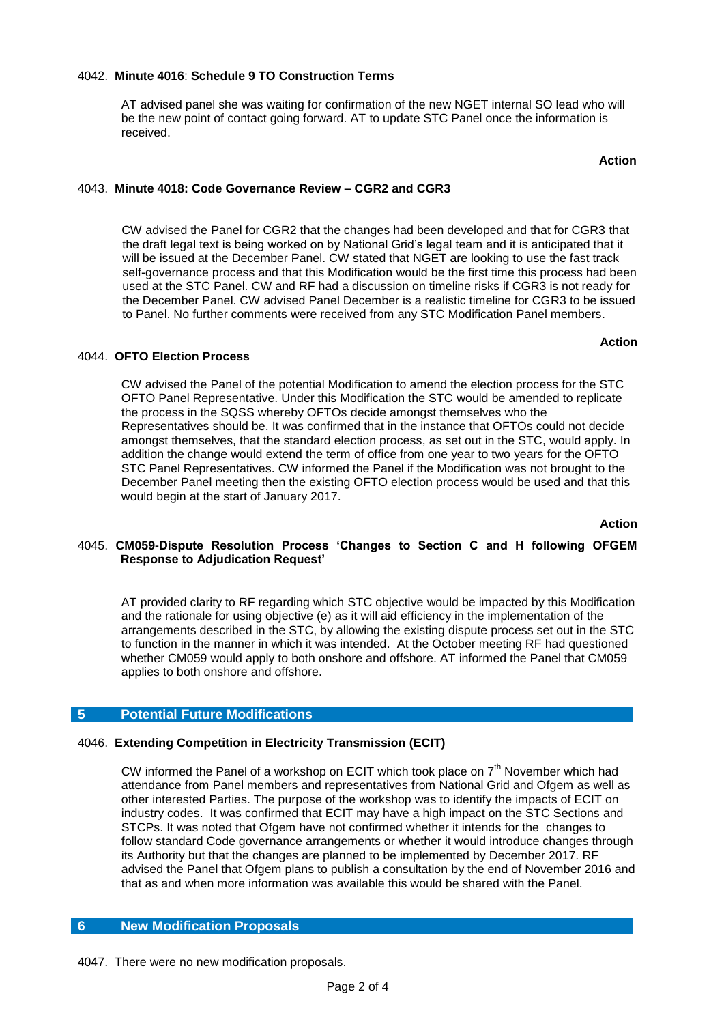#### 4042. **Minute 4016**: **Schedule 9 TO Construction Terms**

AT advised panel she was waiting for confirmation of the new NGET internal SO lead who will be the new point of contact going forward. AT to update STC Panel once the information is received.

#### 4043. **Minute 4018: Code Governance Review – CGR2 and CGR3**

 CW advised the Panel for CGR2 that the changes had been developed and that for CGR3 that the draft legal text is being worked on by National Grid's legal team and it is anticipated that it will be issued at the December Panel. CW stated that NGET are looking to use the fast track self-governance process and that this Modification would be the first time this process had been used at the STC Panel. CW and RF had a discussion on timeline risks if CGR3 is not ready for the December Panel. CW advised Panel December is a realistic timeline for CGR3 to be issued to Panel. No further comments were received from any STC Modification Panel members.

#### 4044. **OFTO Election Process**

CW advised the Panel of the potential Modification to amend the election process for the STC OFTO Panel Representative. Under this Modification the STC would be amended to replicate the process in the SQSS whereby OFTOs decide amongst themselves who the Representatives should be. It was confirmed that in the instance that OFTOs could not decide amongst themselves, that the standard election process, as set out in the STC, would apply. In addition the change would extend the term of office from one year to two years for the OFTO STC Panel Representatives. CW informed the Panel if the Modification was not brought to the December Panel meeting then the existing OFTO election process would be used and that this would begin at the start of January 2017.

المستخدم المستخدم المستخدم المستخدم المستخدم المستخدم المستخدم المستخدم المستخدم المستخدم المستخدم المستخدم ال

#### 4045. **CM059-Dispute Resolution Process 'Changes to Section C and H following OFGEM Response to Adjudication Request'**

AT provided clarity to RF regarding which STC objective would be impacted by this Modification and the rationale for using objective (e) as it will aid efficiency in the implementation of the arrangements described in the STC, by allowing the existing dispute process set out in the STC to function in the manner in which it was intended. At the October meeting RF had questioned whether CM059 would apply to both onshore and offshore. AT informed the Panel that CM059 applies to both onshore and offshore.

# **5 Potential Future Modifications**

#### 4046. **Extending Competition in Electricity Transmission (ECIT)**

CW informed the Panel of a workshop on ECIT which took place on  $7<sup>th</sup>$  November which had attendance from Panel members and representatives from National Grid and Ofgem as well as other interested Parties. The purpose of the workshop was to identify the impacts of ECIT on industry codes. It was confirmed that ECIT may have a high impact on the STC Sections and STCPs. It was noted that Ofgem have not confirmed whether it intends for the changes to follow standard Code governance arrangements or whether it would introduce changes through its Authority but that the changes are planned to be implemented by December 2017. RF advised the Panel that Ofgem plans to publish a consultation by the end of November 2016 and that as and when more information was available this would be shared with the Panel.

# **6 New Modification Proposals**

4047. There were no new modification proposals.

# **Action**

 **Action**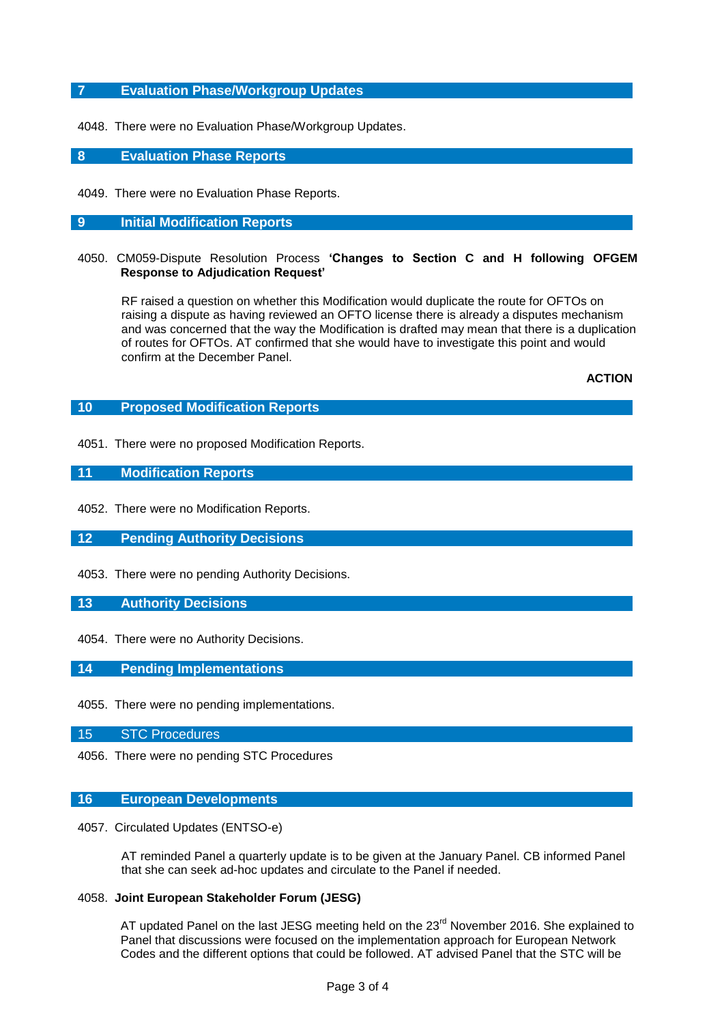# **7 Evaluation Phase/Workgroup Updates**

4048. There were no Evaluation Phase/Workgroup Updates.

# **8 Evaluation Phase Reports**

4049. There were no Evaluation Phase Reports.

#### **9 Initial Modification Reports**

4050. CM059-Dispute Resolution Process **'Changes to Section C and H following OFGEM Response to Adjudication Request'**

RF raised a question on whether this Modification would duplicate the route for OFTOs on raising a dispute as having reviewed an OFTO license there is already a disputes mechanism and was concerned that the way the Modification is drafted may mean that there is a duplication of routes for OFTOs. AT confirmed that she would have to investigate this point and would confirm at the December Panel.

 **ACTION**

## **10 Proposed Modification Reports**

4051. There were no proposed Modification Reports.

# **11 Modification Reports**

4052. There were no Modification Reports.

**12 Pending Authority Decisions**

4053. There were no pending Authority Decisions.

#### **13 Authority Decisions**

4054. There were no Authority Decisions.

**14 Pending Implementations**

4055. There were no pending implementations.

15 STC Procedures

4056. There were no pending STC Procedures

#### **16 European Developments**

4057. Circulated Updates (ENTSO-e)

AT reminded Panel a quarterly update is to be given at the January Panel. CB informed Panel that she can seek ad-hoc updates and circulate to the Panel if needed.

# 4058. **Joint European Stakeholder Forum (JESG)**

AT updated Panel on the last JESG meeting held on the 23<sup>rd</sup> November 2016. She explained to Panel that discussions were focused on the implementation approach for European Network Codes and the different options that could be followed. AT advised Panel that the STC will be